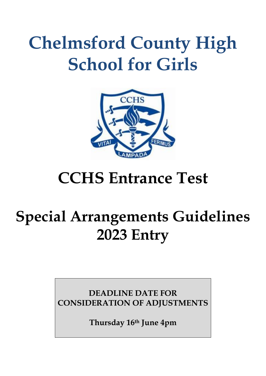# **Chelmsford County High School for Girls**



# **CCHS Entrance Test**

# **Special Arrangements Guidelines 2023 Entry**

**DEADLINE DATE FOR CONSIDERATION OF ADJUSTMENTS**

**Thursday 16th June 4pm**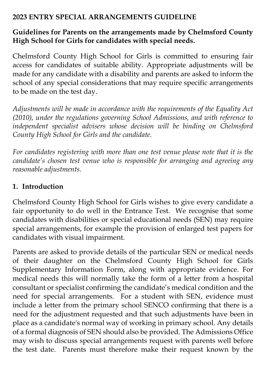#### **2023 ENTRY SPECIAL ARRANGEMENTS GUIDELINE**

#### **Guidelines for Parents on the arrangements made by Chelmsford County High School for Girls for candidates with special needs.**

Chelmsford County High School for Girls is committed to ensuring fair access for candidates of suitable ability. Appropriate adjustments will be made for any candidate with a disability and parents are asked to inform the school of any special considerations that may require specific arrangements to be made on the test day.

*Adjustments will be made in accordance with the requirements of the Equality Act (2010), under the regulations governing School Admissions, and with reference to*  independent specialist advisers whose decision will be binding on Chelmsford *County High School for Girls and the candidate.*

*For candidates registering with more than one test venue please note that it is the candidate's chosen test venue who is responsible for arranging and agreeing any reasonable adjustments.* 

### **1. Introduction**

Chelmsford County High School for Girls wishes to give every candidate a fair opportunity to do well in the Entrance Test. We recognise that some candidates with disabilities or special educational needs (SEN) may require special arrangements, for example the provision of enlarged test papers for candidates with visual impairment.

Parents are asked to provide details of the particular SEN or medical needs of their daughter on the Chelmsford County High School for Girls Supplementary Information Form, along with appropriate evidence. For medical needs this will normally take the form of a letter from a hospital consultant or specialist confirming the candidate's medical condition and the need for special arrangements. For a student with SEN, evidence must include a letter from the primary school SENCO confirming that there is a need for the adjustment requested and that such adjustments have been in place as a candidate's normal way of working in primary school. Any details of a formal diagnosis of SEN should also be provided. The Admissions Office may wish to discuss special arrangements request with parents well before the test date. Parents must therefore make their request known by the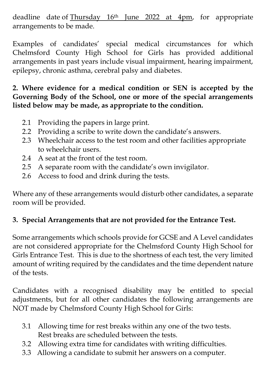deadline date of Thursday 16th June 2022 at 4pm, for appropriate arrangements to be made.

Examples of candidates' special medical circumstances for which Chelmsford County High School for Girls has provided additional arrangements in past years include visual impairment, hearing impairment, epilepsy, chronic asthma, cerebral palsy and diabetes.

**2. Where evidence for a medical condition or SEN is accepted by the Governing Body of the School, one or more of the special arrangements listed below may be made, as appropriate to the condition.**

- 2.1 Providing the papers in large print.
- 2.2 Providing a scribe to write down the candidate's answers.
- 2.3 Wheelchair access to the test room and other facilities appropriate to wheelchair users.
- 2.4 A seat at the front of the test room.
- 2.5 A separate room with the candidate's own invigilator.
- 2.6 Access to food and drink during the tests.

Where any of these arrangements would disturb other candidates, a separate room will be provided.

### **3. Special Arrangements that are not provided for the Entrance Test.**

Some arrangements which schools provide for GCSE and A Level candidates are not considered appropriate for the Chelmsford County High School for Girls Entrance Test. This is due to the shortness of each test, the very limited amount of writing required by the candidates and the time dependent nature of the tests.

Candidates with a recognised disability may be entitled to special adjustments, but for all other candidates the following arrangements are NOT made by Chelmsford County High School for Girls:

- 3.1 Allowing time for rest breaks within any one of the two tests. Rest breaks are scheduled between the tests.
- 3.2 Allowing extra time for candidates with writing difficulties.
- 3.3 Allowing a candidate to submit her answers on a computer.